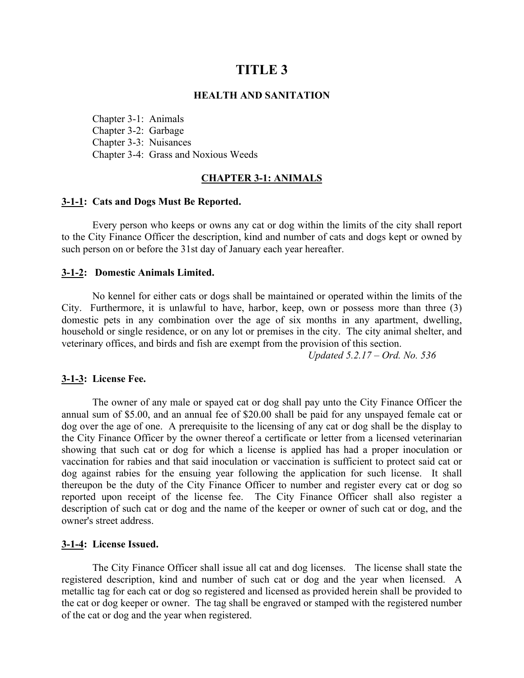# **TITLE 3**

#### **HEALTH AND SANITATION**

Chapter 3-1: Animals Chapter 3-2: Garbage Chapter 3-3: Nuisances Chapter 3-4: Grass and Noxious Weeds

## **CHAPTER 3-1: ANIMALS**

## **3-1-1: Cats and Dogs Must Be Reported.**

Every person who keeps or owns any cat or dog within the limits of the city shall report to the City Finance Officer the description, kind and number of cats and dogs kept or owned by such person on or before the 31st day of January each year hereafter.

### **3-1-2: Domestic Animals Limited.**

No kennel for either cats or dogs shall be maintained or operated within the limits of the City. Furthermore, it is unlawful to have, harbor, keep, own or possess more than three (3) domestic pets in any combination over the age of six months in any apartment, dwelling, household or single residence, or on any lot or premises in the city. The city animal shelter, and veterinary offices, and birds and fish are exempt from the provision of this section.

*Updated 5.2.17 – Ord. No. 536*

## **3-1-3: License Fee.**

The owner of any male or spayed cat or dog shall pay unto the City Finance Officer the annual sum of \$5.00, and an annual fee of \$20.00 shall be paid for any unspayed female cat or dog over the age of one. A prerequisite to the licensing of any cat or dog shall be the display to the City Finance Officer by the owner thereof a certificate or letter from a licensed veterinarian showing that such cat or dog for which a license is applied has had a proper inoculation or vaccination for rabies and that said inoculation or vaccination is sufficient to protect said cat or dog against rabies for the ensuing year following the application for such license. It shall thereupon be the duty of the City Finance Officer to number and register every cat or dog so reported upon receipt of the license fee. The City Finance Officer shall also register a description of such cat or dog and the name of the keeper or owner of such cat or dog, and the owner's street address.

#### **3-1-4: License Issued.**

The City Finance Officer shall issue all cat and dog licenses. The license shall state the registered description, kind and number of such cat or dog and the year when licensed. A metallic tag for each cat or dog so registered and licensed as provided herein shall be provided to the cat or dog keeper or owner. The tag shall be engraved or stamped with the registered number of the cat or dog and the year when registered.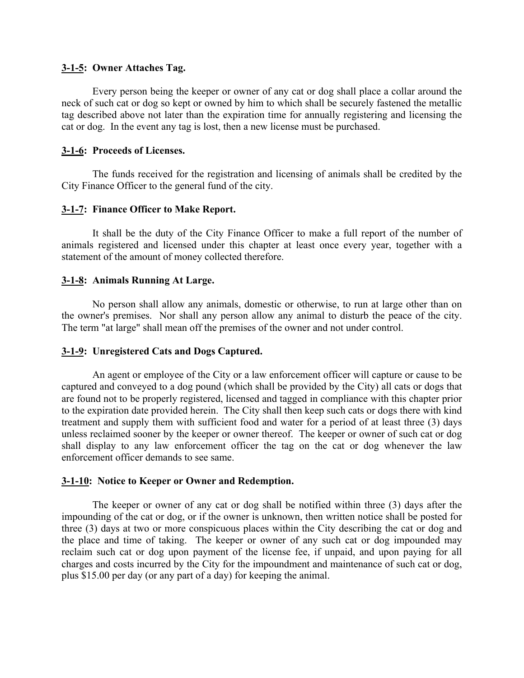## **3-1-5: Owner Attaches Tag.**

Every person being the keeper or owner of any cat or dog shall place a collar around the neck of such cat or dog so kept or owned by him to which shall be securely fastened the metallic tag described above not later than the expiration time for annually registering and licensing the cat or dog. In the event any tag is lost, then a new license must be purchased.

## **3-1-6: Proceeds of Licenses.**

The funds received for the registration and licensing of animals shall be credited by the City Finance Officer to the general fund of the city.

## **3-1-7: Finance Officer to Make Report.**

It shall be the duty of the City Finance Officer to make a full report of the number of animals registered and licensed under this chapter at least once every year, together with a statement of the amount of money collected therefore.

## **3-1-8: Animals Running At Large.**

No person shall allow any animals, domestic or otherwise, to run at large other than on the owner's premises. Nor shall any person allow any animal to disturb the peace of the city. The term "at large" shall mean off the premises of the owner and not under control.

# **3-1-9: Unregistered Cats and Dogs Captured.**

An agent or employee of the City or a law enforcement officer will capture or cause to be captured and conveyed to a dog pound (which shall be provided by the City) all cats or dogs that are found not to be properly registered, licensed and tagged in compliance with this chapter prior to the expiration date provided herein. The City shall then keep such cats or dogs there with kind treatment and supply them with sufficient food and water for a period of at least three (3) days unless reclaimed sooner by the keeper or owner thereof. The keeper or owner of such cat or dog shall display to any law enforcement officer the tag on the cat or dog whenever the law enforcement officer demands to see same.

## **3-1-10: Notice to Keeper or Owner and Redemption.**

The keeper or owner of any cat or dog shall be notified within three (3) days after the impounding of the cat or dog, or if the owner is unknown, then written notice shall be posted for three (3) days at two or more conspicuous places within the City describing the cat or dog and the place and time of taking. The keeper or owner of any such cat or dog impounded may reclaim such cat or dog upon payment of the license fee, if unpaid, and upon paying for all charges and costs incurred by the City for the impoundment and maintenance of such cat or dog, plus \$15.00 per day (or any part of a day) for keeping the animal.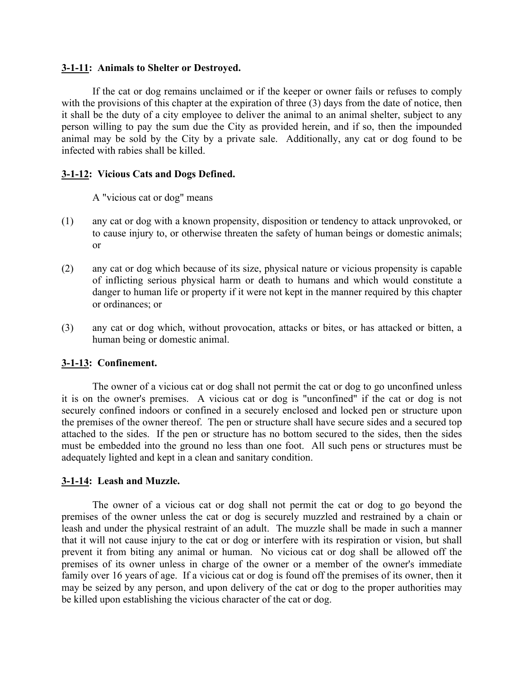## **3-1-11: Animals to Shelter or Destroyed.**

If the cat or dog remains unclaimed or if the keeper or owner fails or refuses to comply with the provisions of this chapter at the expiration of three (3) days from the date of notice, then it shall be the duty of a city employee to deliver the animal to an animal shelter, subject to any person willing to pay the sum due the City as provided herein, and if so, then the impounded animal may be sold by the City by a private sale. Additionally, any cat or dog found to be infected with rabies shall be killed.

# **3-1-12: Vicious Cats and Dogs Defined.**

A "vicious cat or dog" means

- (1) any cat or dog with a known propensity, disposition or tendency to attack unprovoked, or to cause injury to, or otherwise threaten the safety of human beings or domestic animals; or
- (2) any cat or dog which because of its size, physical nature or vicious propensity is capable of inflicting serious physical harm or death to humans and which would constitute a danger to human life or property if it were not kept in the manner required by this chapter or ordinances; or
- (3) any cat or dog which, without provocation, attacks or bites, or has attacked or bitten, a human being or domestic animal.

# **3-1-13: Confinement.**

The owner of a vicious cat or dog shall not permit the cat or dog to go unconfined unless it is on the owner's premises. A vicious cat or dog is "unconfined" if the cat or dog is not securely confined indoors or confined in a securely enclosed and locked pen or structure upon the premises of the owner thereof. The pen or structure shall have secure sides and a secured top attached to the sides. If the pen or structure has no bottom secured to the sides, then the sides must be embedded into the ground no less than one foot. All such pens or structures must be adequately lighted and kept in a clean and sanitary condition.

# **3-1-14: Leash and Muzzle.**

The owner of a vicious cat or dog shall not permit the cat or dog to go beyond the premises of the owner unless the cat or dog is securely muzzled and restrained by a chain or leash and under the physical restraint of an adult. The muzzle shall be made in such a manner that it will not cause injury to the cat or dog or interfere with its respiration or vision, but shall prevent it from biting any animal or human. No vicious cat or dog shall be allowed off the premises of its owner unless in charge of the owner or a member of the owner's immediate family over 16 years of age. If a vicious cat or dog is found off the premises of its owner, then it may be seized by any person, and upon delivery of the cat or dog to the proper authorities may be killed upon establishing the vicious character of the cat or dog.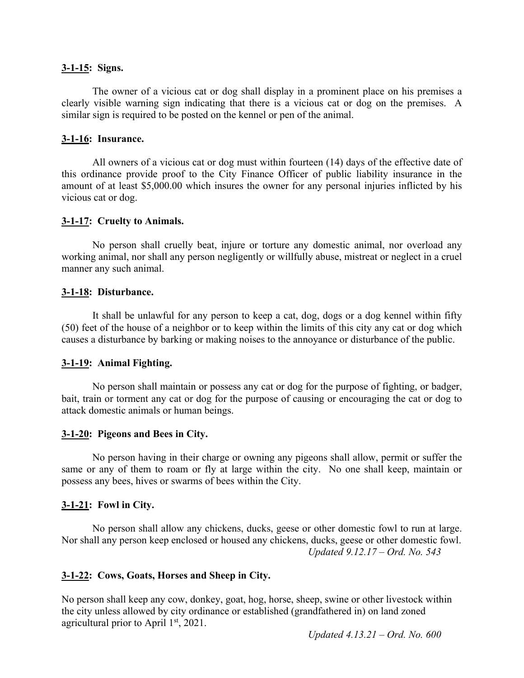## **3-1-15: Signs.**

The owner of a vicious cat or dog shall display in a prominent place on his premises a clearly visible warning sign indicating that there is a vicious cat or dog on the premises. A similar sign is required to be posted on the kennel or pen of the animal.

# **3-1-16: Insurance.**

All owners of a vicious cat or dog must within fourteen (14) days of the effective date of this ordinance provide proof to the City Finance Officer of public liability insurance in the amount of at least \$5,000.00 which insures the owner for any personal injuries inflicted by his vicious cat or dog.

# **3-1-17: Cruelty to Animals.**

No person shall cruelly beat, injure or torture any domestic animal, nor overload any working animal, nor shall any person negligently or willfully abuse, mistreat or neglect in a cruel manner any such animal.

# **3-1-18: Disturbance.**

It shall be unlawful for any person to keep a cat, dog, dogs or a dog kennel within fifty (50) feet of the house of a neighbor or to keep within the limits of this city any cat or dog which causes a disturbance by barking or making noises to the annoyance or disturbance of the public.

# **3-1-19: Animal Fighting.**

No person shall maintain or possess any cat or dog for the purpose of fighting, or badger, bait, train or torment any cat or dog for the purpose of causing or encouraging the cat or dog to attack domestic animals or human beings.

# **3-1-20: Pigeons and Bees in City.**

No person having in their charge or owning any pigeons shall allow, permit or suffer the same or any of them to roam or fly at large within the city. No one shall keep, maintain or possess any bees, hives or swarms of bees within the City.

# **3-1-21: Fowl in City.**

No person shall allow any chickens, ducks, geese or other domestic fowl to run at large. Nor shall any person keep enclosed or housed any chickens, ducks, geese or other domestic fowl. *Updated 9.12.17 – Ord. No. 543*

# **3-1-22: Cows, Goats, Horses and Sheep in City.**

No person shall keep any cow, donkey, goat, hog, horse, sheep, swine or other livestock within the city unless allowed by city ordinance or established (grandfathered in) on land zoned agricultural prior to April 1st, 2021.

*Updated 4.13.21 – Ord. No. 600*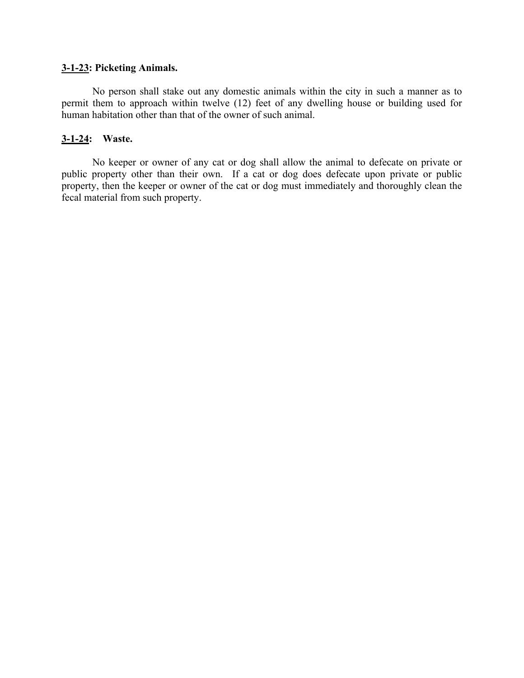# **3-1-23: Picketing Animals.**

No person shall stake out any domestic animals within the city in such a manner as to permit them to approach within twelve (12) feet of any dwelling house or building used for human habitation other than that of the owner of such animal.

# **3-1-24: Waste.**

No keeper or owner of any cat or dog shall allow the animal to defecate on private or public property other than their own. If a cat or dog does defecate upon private or public property, then the keeper or owner of the cat or dog must immediately and thoroughly clean the fecal material from such property.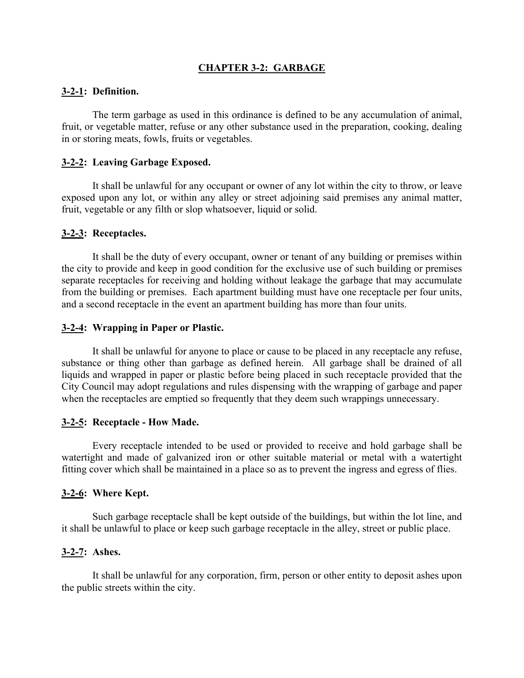# **CHAPTER 3-2: GARBAGE**

## **3-2-1: Definition.**

The term garbage as used in this ordinance is defined to be any accumulation of animal, fruit, or vegetable matter, refuse or any other substance used in the preparation, cooking, dealing in or storing meats, fowls, fruits or vegetables.

# **3-2-2: Leaving Garbage Exposed.**

It shall be unlawful for any occupant or owner of any lot within the city to throw, or leave exposed upon any lot, or within any alley or street adjoining said premises any animal matter, fruit, vegetable or any filth or slop whatsoever, liquid or solid.

## **3-2-3: Receptacles.**

It shall be the duty of every occupant, owner or tenant of any building or premises within the city to provide and keep in good condition for the exclusive use of such building or premises separate receptacles for receiving and holding without leakage the garbage that may accumulate from the building or premises. Each apartment building must have one receptacle per four units, and a second receptacle in the event an apartment building has more than four units.

## **3-2-4: Wrapping in Paper or Plastic.**

It shall be unlawful for anyone to place or cause to be placed in any receptacle any refuse, substance or thing other than garbage as defined herein. All garbage shall be drained of all liquids and wrapped in paper or plastic before being placed in such receptacle provided that the City Council may adopt regulations and rules dispensing with the wrapping of garbage and paper when the receptacles are emptied so frequently that they deem such wrappings unnecessary.

## **3-2-5: Receptacle - How Made.**

Every receptacle intended to be used or provided to receive and hold garbage shall be watertight and made of galvanized iron or other suitable material or metal with a watertight fitting cover which shall be maintained in a place so as to prevent the ingress and egress of flies.

# **3-2-6: Where Kept.**

Such garbage receptacle shall be kept outside of the buildings, but within the lot line, and it shall be unlawful to place or keep such garbage receptacle in the alley, street or public place.

## **3-2-7: Ashes.**

It shall be unlawful for any corporation, firm, person or other entity to deposit ashes upon the public streets within the city.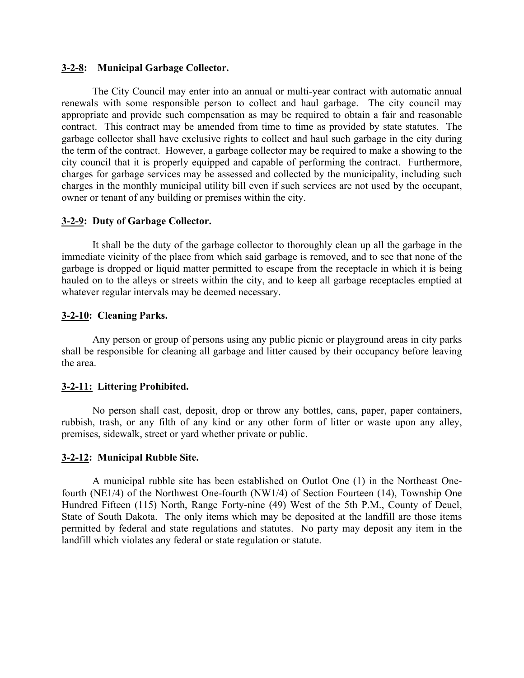## **3-2-8: Municipal Garbage Collector.**

The City Council may enter into an annual or multi-year contract with automatic annual renewals with some responsible person to collect and haul garbage. The city council may appropriate and provide such compensation as may be required to obtain a fair and reasonable contract. This contract may be amended from time to time as provided by state statutes. The garbage collector shall have exclusive rights to collect and haul such garbage in the city during the term of the contract. However, a garbage collector may be required to make a showing to the city council that it is properly equipped and capable of performing the contract. Furthermore, charges for garbage services may be assessed and collected by the municipality, including such charges in the monthly municipal utility bill even if such services are not used by the occupant, owner or tenant of any building or premises within the city.

## **3-2-9: Duty of Garbage Collector.**

It shall be the duty of the garbage collector to thoroughly clean up all the garbage in the immediate vicinity of the place from which said garbage is removed, and to see that none of the garbage is dropped or liquid matter permitted to escape from the receptacle in which it is being hauled on to the alleys or streets within the city, and to keep all garbage receptacles emptied at whatever regular intervals may be deemed necessary.

## **3-2-10: Cleaning Parks.**

Any person or group of persons using any public picnic or playground areas in city parks shall be responsible for cleaning all garbage and litter caused by their occupancy before leaving the area.

## **3-2-11: Littering Prohibited.**

No person shall cast, deposit, drop or throw any bottles, cans, paper, paper containers, rubbish, trash, or any filth of any kind or any other form of litter or waste upon any alley, premises, sidewalk, street or yard whether private or public.

#### **3-2-12: Municipal Rubble Site.**

A municipal rubble site has been established on Outlot One (1) in the Northeast Onefourth (NE1/4) of the Northwest One-fourth (NW1/4) of Section Fourteen (14), Township One Hundred Fifteen (115) North, Range Forty-nine (49) West of the 5th P.M., County of Deuel, State of South Dakota. The only items which may be deposited at the landfill are those items permitted by federal and state regulations and statutes. No party may deposit any item in the landfill which violates any federal or state regulation or statute.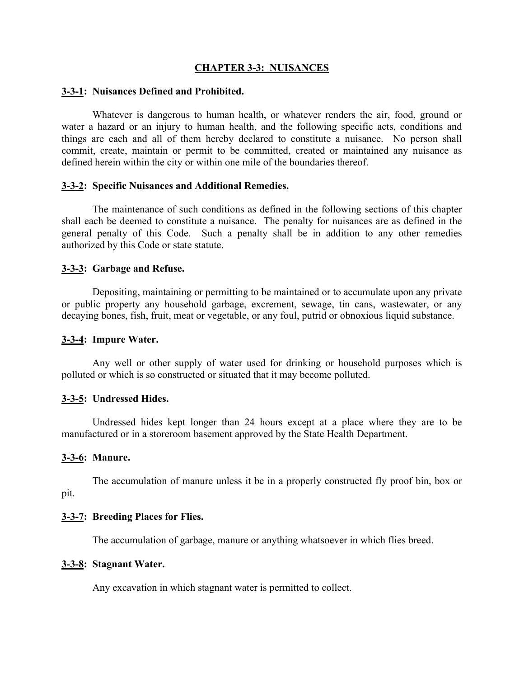## **CHAPTER 3-3: NUISANCES**

#### **3-3-1: Nuisances Defined and Prohibited.**

Whatever is dangerous to human health, or whatever renders the air, food, ground or water a hazard or an injury to human health, and the following specific acts, conditions and things are each and all of them hereby declared to constitute a nuisance. No person shall commit, create, maintain or permit to be committed, created or maintained any nuisance as defined herein within the city or within one mile of the boundaries thereof.

## **3-3-2: Specific Nuisances and Additional Remedies.**

The maintenance of such conditions as defined in the following sections of this chapter shall each be deemed to constitute a nuisance. The penalty for nuisances are as defined in the general penalty of this Code. Such a penalty shall be in addition to any other remedies authorized by this Code or state statute.

### **3-3-3: Garbage and Refuse.**

Depositing, maintaining or permitting to be maintained or to accumulate upon any private or public property any household garbage, excrement, sewage, tin cans, wastewater, or any decaying bones, fish, fruit, meat or vegetable, or any foul, putrid or obnoxious liquid substance.

#### **3-3-4: Impure Water.**

Any well or other supply of water used for drinking or household purposes which is polluted or which is so constructed or situated that it may become polluted.

#### **3-3-5: Undressed Hides.**

Undressed hides kept longer than 24 hours except at a place where they are to be manufactured or in a storeroom basement approved by the State Health Department.

## **3-3-6: Manure.**

The accumulation of manure unless it be in a properly constructed fly proof bin, box or pit.

#### **3-3-7: Breeding Places for Flies.**

The accumulation of garbage, manure or anything whatsoever in which flies breed.

### **3-3-8: Stagnant Water.**

Any excavation in which stagnant water is permitted to collect.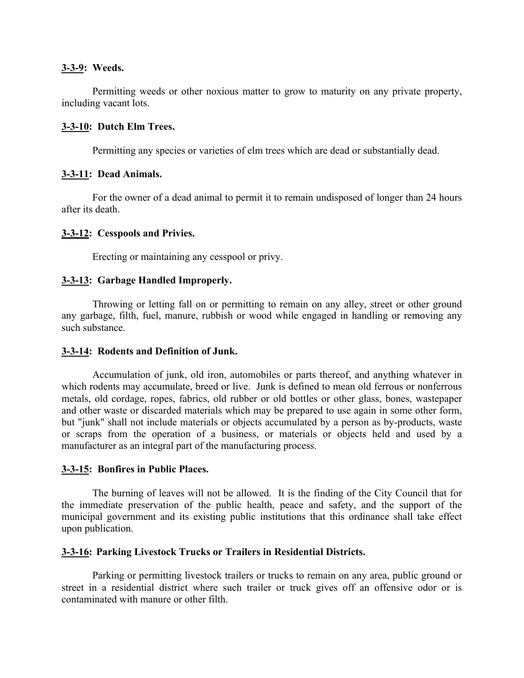## **3-3-9: Weeds.**

Permitting weeds or other noxious matter to grow to maturity on any private property, including vacant lots.

# **3-3-10: Dutch Elm Trees.**

Permitting any species or varieties of elm trees which are dead or substantially dead.

# **3-3-11: Dead Animals.**

For the owner of a dead animal to permit it to remain undisposed of longer than 24 hours after its death.

# **3-3-12: Cesspools and Privies.**

Erecting or maintaining any cesspool or privy.

# **3-3-13: Garbage Handled Improperly.**

Throwing or letting fall on or permitting to remain on any alley, street or other ground any garbage, filth, fuel, manure, rubbish or wood while engaged in handling or removing any such substance.

# **3-3-14: Rodents and Definition of Junk.**

Accumulation of junk, old iron, automobiles or parts thereof, and anything whatever in which rodents may accumulate, breed or live. Junk is defined to mean old ferrous or nonferrous metals, old cordage, ropes, fabrics, old rubber or old bottles or other glass, bones, wastepaper and other waste or discarded materials which may be prepared to use again in some other form, but "junk" shall not include materials or objects accumulated by a person as by-products, waste or scraps from the operation of a business, or materials or objects held and used by a manufacturer as an integral part of the manufacturing process.

# **3-3-15: Bonfires in Public Places.**

The burning of leaves will not be allowed. It is the finding of the City Council that for the immediate preservation of the public health, peace and safety, and the support of the municipal government and its existing public institutions that this ordinance shall take effect upon publication.

# **3-3-16: Parking Livestock Trucks or Trailers in Residential Districts.**

Parking or permitting livestock trailers or trucks to remain on any area, public ground or street in a residential district where such trailer or truck gives off an offensive odor or is contaminated with manure or other filth.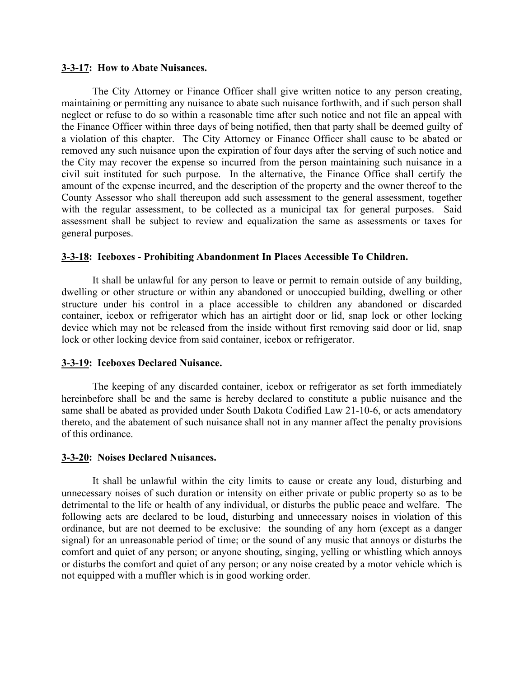#### **3-3-17: How to Abate Nuisances.**

The City Attorney or Finance Officer shall give written notice to any person creating, maintaining or permitting any nuisance to abate such nuisance forthwith, and if such person shall neglect or refuse to do so within a reasonable time after such notice and not file an appeal with the Finance Officer within three days of being notified, then that party shall be deemed guilty of a violation of this chapter. The City Attorney or Finance Officer shall cause to be abated or removed any such nuisance upon the expiration of four days after the serving of such notice and the City may recover the expense so incurred from the person maintaining such nuisance in a civil suit instituted for such purpose. In the alternative, the Finance Office shall certify the amount of the expense incurred, and the description of the property and the owner thereof to the County Assessor who shall thereupon add such assessment to the general assessment, together with the regular assessment, to be collected as a municipal tax for general purposes. Said assessment shall be subject to review and equalization the same as assessments or taxes for general purposes.

## **3-3-18: Iceboxes - Prohibiting Abandonment In Places Accessible To Children.**

It shall be unlawful for any person to leave or permit to remain outside of any building, dwelling or other structure or within any abandoned or unoccupied building, dwelling or other structure under his control in a place accessible to children any abandoned or discarded container, icebox or refrigerator which has an airtight door or lid, snap lock or other locking device which may not be released from the inside without first removing said door or lid, snap lock or other locking device from said container, icebox or refrigerator.

#### **3-3-19: Iceboxes Declared Nuisance.**

The keeping of any discarded container, icebox or refrigerator as set forth immediately hereinbefore shall be and the same is hereby declared to constitute a public nuisance and the same shall be abated as provided under South Dakota Codified Law 21-10-6, or acts amendatory thereto, and the abatement of such nuisance shall not in any manner affect the penalty provisions of this ordinance.

#### **3-3-20: Noises Declared Nuisances.**

It shall be unlawful within the city limits to cause or create any loud, disturbing and unnecessary noises of such duration or intensity on either private or public property so as to be detrimental to the life or health of any individual, or disturbs the public peace and welfare. The following acts are declared to be loud, disturbing and unnecessary noises in violation of this ordinance, but are not deemed to be exclusive: the sounding of any horn (except as a danger signal) for an unreasonable period of time; or the sound of any music that annoys or disturbs the comfort and quiet of any person; or anyone shouting, singing, yelling or whistling which annoys or disturbs the comfort and quiet of any person; or any noise created by a motor vehicle which is not equipped with a muffler which is in good working order.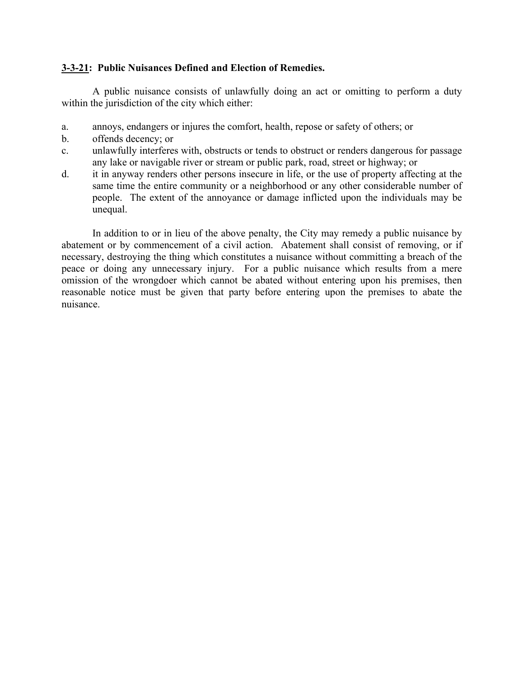# **3-3-21: Public Nuisances Defined and Election of Remedies.**

A public nuisance consists of unlawfully doing an act or omitting to perform a duty within the jurisdiction of the city which either:

- a. annoys, endangers or injures the comfort, health, repose or safety of others; or
- b. offends decency; or
- c. unlawfully interferes with, obstructs or tends to obstruct or renders dangerous for passage any lake or navigable river or stream or public park, road, street or highway; or
- d. it in anyway renders other persons insecure in life, or the use of property affecting at the same time the entire community or a neighborhood or any other considerable number of people. The extent of the annoyance or damage inflicted upon the individuals may be unequal.

In addition to or in lieu of the above penalty, the City may remedy a public nuisance by abatement or by commencement of a civil action. Abatement shall consist of removing, or if necessary, destroying the thing which constitutes a nuisance without committing a breach of the peace or doing any unnecessary injury. For a public nuisance which results from a mere omission of the wrongdoer which cannot be abated without entering upon his premises, then reasonable notice must be given that party before entering upon the premises to abate the nuisance.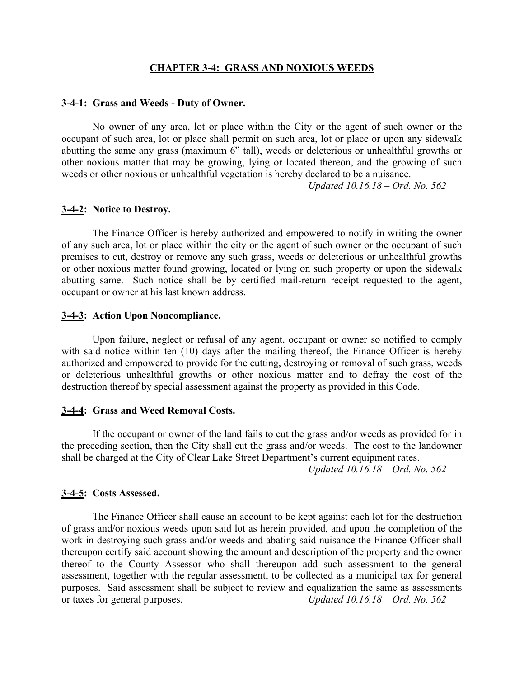#### **CHAPTER 3-4: GRASS AND NOXIOUS WEEDS**

#### **3-4-1: Grass and Weeds - Duty of Owner.**

No owner of any area, lot or place within the City or the agent of such owner or the occupant of such area, lot or place shall permit on such area, lot or place or upon any sidewalk abutting the same any grass (maximum 6" tall), weeds or deleterious or unhealthful growths or other noxious matter that may be growing, lying or located thereon, and the growing of such weeds or other noxious or unhealthful vegetation is hereby declared to be a nuisance.

*Updated 10.16.18 – Ord. No. 562*

#### **3-4-2: Notice to Destroy.**

The Finance Officer is hereby authorized and empowered to notify in writing the owner of any such area, lot or place within the city or the agent of such owner or the occupant of such premises to cut, destroy or remove any such grass, weeds or deleterious or unhealthful growths or other noxious matter found growing, located or lying on such property or upon the sidewalk abutting same. Such notice shall be by certified mail-return receipt requested to the agent, occupant or owner at his last known address.

#### **3-4-3: Action Upon Noncompliance.**

Upon failure, neglect or refusal of any agent, occupant or owner so notified to comply with said notice within ten (10) days after the mailing thereof, the Finance Officer is hereby authorized and empowered to provide for the cutting, destroying or removal of such grass, weeds or deleterious unhealthful growths or other noxious matter and to defray the cost of the destruction thereof by special assessment against the property as provided in this Code.

#### **3-4-4: Grass and Weed Removal Costs.**

If the occupant or owner of the land fails to cut the grass and/or weeds as provided for in the preceding section, then the City shall cut the grass and/or weeds. The cost to the landowner shall be charged at the City of Clear Lake Street Department's current equipment rates.

*Updated 10.16.18 – Ord. No. 562*

#### **3-4-5: Costs Assessed.**

The Finance Officer shall cause an account to be kept against each lot for the destruction of grass and/or noxious weeds upon said lot as herein provided, and upon the completion of the work in destroying such grass and/or weeds and abating said nuisance the Finance Officer shall thereupon certify said account showing the amount and description of the property and the owner thereof to the County Assessor who shall thereupon add such assessment to the general assessment, together with the regular assessment, to be collected as a municipal tax for general purposes. Said assessment shall be subject to review and equalization the same as assessments or taxes for general purposes. *Updated 10.16.18 – Ord. No. 562*